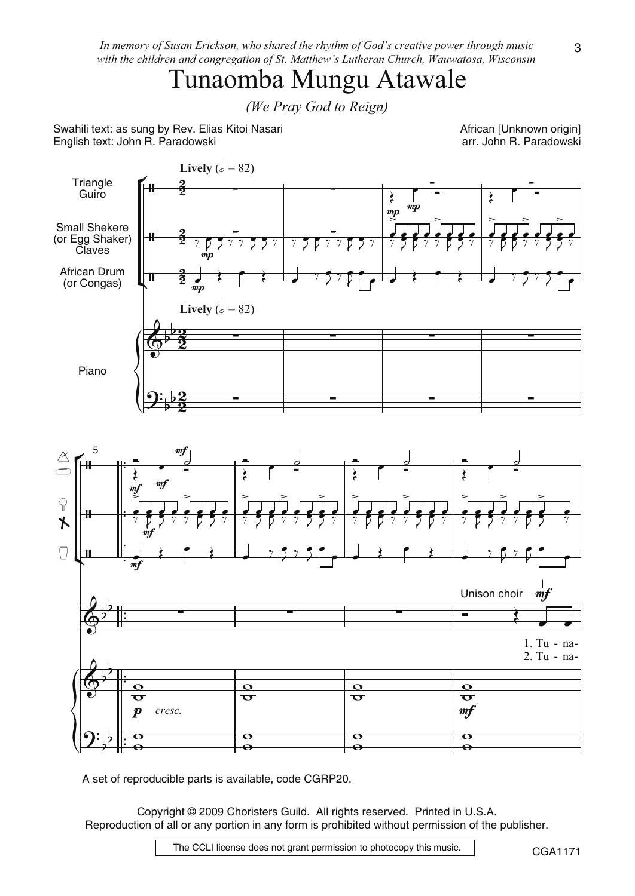In memory of Susan Erickson, who shared the rhythm of God's creative power through music with the children and congregation of St. Matthew's Lutheran Church, Wauwatosa, Wisconsin

## Tunaomba Mungu Atawale

(We Pray God to Reign)

Swahili text: as sung by Rev. Elias Kitoi Nasari English text: John R. Paradowski

African [Unknown origin] arr. John R. Paradowski



A set of reproducible parts is available, code CGRP20.

Copyright © 2009 Choristers Guild. All rights reserved. Printed in U.S.A. Reproduction of all or any portion in any form is prohibited without permission of the publisher.

The CCLI license does not grant permission to photocopy this music.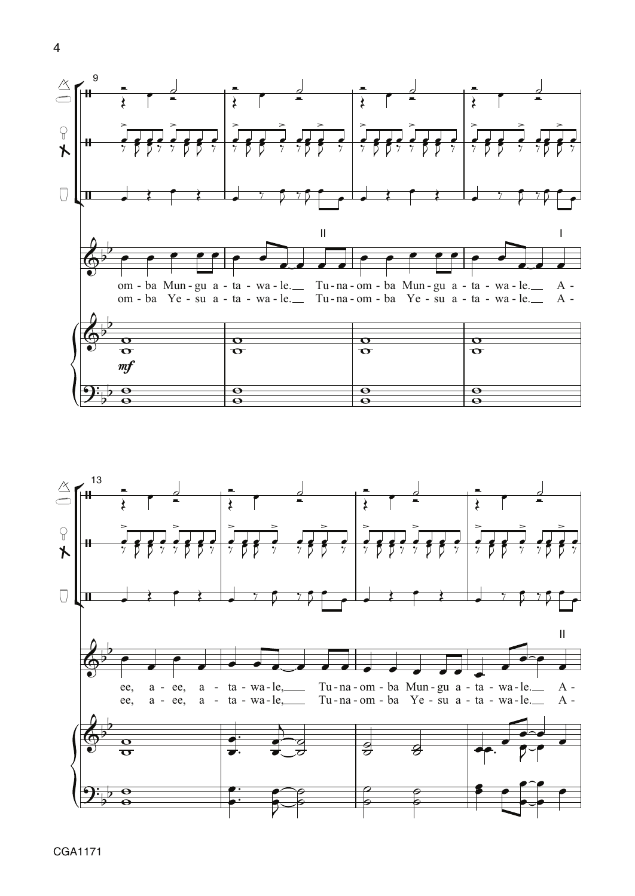



CGA1171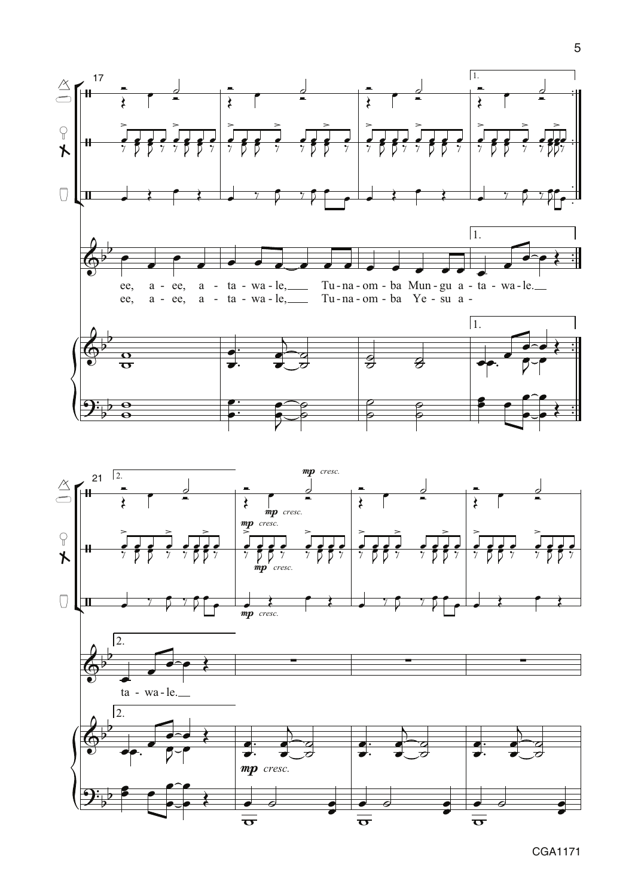

 $\overline{\sigma}$ 



 $\overline{\overline{\sigma}}$ 

CGA1171